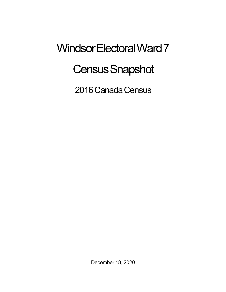## Windsor Electoral Ward 7 **Census Snapshot**

2016 Canada Census

December 18, 2020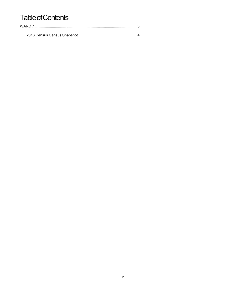## **Table of Contents**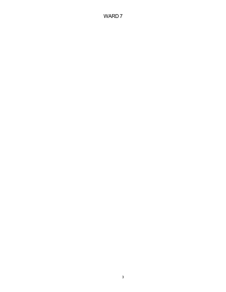## WARD 7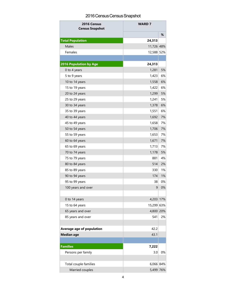## 2016 Census Census Snapshot

| %<br><b>Total Population</b><br>24,313<br>11,726 48%<br><b>Males</b><br>Females<br>12,588 52%<br>24,313<br><b>2016 Population by Age</b><br>1,281<br>5%<br>0 to 4 years<br>6%<br>1,423<br>5 to 9 years<br>1,558<br>6%<br>10 to 14 years<br>6%<br>1,422<br>15 to 19 years<br>5%<br>1,299<br>20 to 24 years<br>1,241<br>5%<br>25 to 29 years<br>1,378<br>6%<br>30 to 34 years<br>6%<br>1,551<br>35 to 39 years<br>1,692<br>7%<br>40 to 44 years<br>7%<br>1,658<br>45 to 49 years<br>7%<br>1,706<br>50 to 54 years<br>7%<br>55 to 59 years<br>1,653<br>1,671<br>7%<br>60 to 64 years<br>7%<br>1,713<br>65 to 69 years<br>70 to 74 years<br>1,178<br>5%<br>4%<br>75 to 79 years<br>881<br>514<br>2%<br>80 to 84 years<br>1%<br>330<br>85 to 89 years<br>1%<br>174<br>90 to 94 years<br>0%<br>38<br>95 to 99 years<br>0%<br>9<br>100 years and over<br>4,203 17%<br>0 to 14 years<br>15 to 64 years<br>15,299 63%<br>65 years and over<br>4,800 20%<br>85 years and over<br>541<br>2%<br>Average age of population<br>42.2<br><b>Median age</b><br>43.1<br><b>Families</b><br>7,222<br>Persons per family<br>0%<br>3.0<br>Total couple families<br>6,066 84%<br>5,499 76% | 2016 Census<br><b>Census Snapshot</b> | <b>WARD 7</b> |  |
|----------------------------------------------------------------------------------------------------------------------------------------------------------------------------------------------------------------------------------------------------------------------------------------------------------------------------------------------------------------------------------------------------------------------------------------------------------------------------------------------------------------------------------------------------------------------------------------------------------------------------------------------------------------------------------------------------------------------------------------------------------------------------------------------------------------------------------------------------------------------------------------------------------------------------------------------------------------------------------------------------------------------------------------------------------------------------------------------------------------------------------------------------------------------|---------------------------------------|---------------|--|
|                                                                                                                                                                                                                                                                                                                                                                                                                                                                                                                                                                                                                                                                                                                                                                                                                                                                                                                                                                                                                                                                                                                                                                      |                                       |               |  |
|                                                                                                                                                                                                                                                                                                                                                                                                                                                                                                                                                                                                                                                                                                                                                                                                                                                                                                                                                                                                                                                                                                                                                                      |                                       |               |  |
|                                                                                                                                                                                                                                                                                                                                                                                                                                                                                                                                                                                                                                                                                                                                                                                                                                                                                                                                                                                                                                                                                                                                                                      |                                       |               |  |
|                                                                                                                                                                                                                                                                                                                                                                                                                                                                                                                                                                                                                                                                                                                                                                                                                                                                                                                                                                                                                                                                                                                                                                      |                                       |               |  |
|                                                                                                                                                                                                                                                                                                                                                                                                                                                                                                                                                                                                                                                                                                                                                                                                                                                                                                                                                                                                                                                                                                                                                                      |                                       |               |  |
|                                                                                                                                                                                                                                                                                                                                                                                                                                                                                                                                                                                                                                                                                                                                                                                                                                                                                                                                                                                                                                                                                                                                                                      |                                       |               |  |
|                                                                                                                                                                                                                                                                                                                                                                                                                                                                                                                                                                                                                                                                                                                                                                                                                                                                                                                                                                                                                                                                                                                                                                      |                                       |               |  |
|                                                                                                                                                                                                                                                                                                                                                                                                                                                                                                                                                                                                                                                                                                                                                                                                                                                                                                                                                                                                                                                                                                                                                                      |                                       |               |  |
|                                                                                                                                                                                                                                                                                                                                                                                                                                                                                                                                                                                                                                                                                                                                                                                                                                                                                                                                                                                                                                                                                                                                                                      |                                       |               |  |
|                                                                                                                                                                                                                                                                                                                                                                                                                                                                                                                                                                                                                                                                                                                                                                                                                                                                                                                                                                                                                                                                                                                                                                      |                                       |               |  |
|                                                                                                                                                                                                                                                                                                                                                                                                                                                                                                                                                                                                                                                                                                                                                                                                                                                                                                                                                                                                                                                                                                                                                                      |                                       |               |  |
|                                                                                                                                                                                                                                                                                                                                                                                                                                                                                                                                                                                                                                                                                                                                                                                                                                                                                                                                                                                                                                                                                                                                                                      |                                       |               |  |
|                                                                                                                                                                                                                                                                                                                                                                                                                                                                                                                                                                                                                                                                                                                                                                                                                                                                                                                                                                                                                                                                                                                                                                      |                                       |               |  |
|                                                                                                                                                                                                                                                                                                                                                                                                                                                                                                                                                                                                                                                                                                                                                                                                                                                                                                                                                                                                                                                                                                                                                                      |                                       |               |  |
|                                                                                                                                                                                                                                                                                                                                                                                                                                                                                                                                                                                                                                                                                                                                                                                                                                                                                                                                                                                                                                                                                                                                                                      |                                       |               |  |
|                                                                                                                                                                                                                                                                                                                                                                                                                                                                                                                                                                                                                                                                                                                                                                                                                                                                                                                                                                                                                                                                                                                                                                      |                                       |               |  |
|                                                                                                                                                                                                                                                                                                                                                                                                                                                                                                                                                                                                                                                                                                                                                                                                                                                                                                                                                                                                                                                                                                                                                                      |                                       |               |  |
|                                                                                                                                                                                                                                                                                                                                                                                                                                                                                                                                                                                                                                                                                                                                                                                                                                                                                                                                                                                                                                                                                                                                                                      |                                       |               |  |
|                                                                                                                                                                                                                                                                                                                                                                                                                                                                                                                                                                                                                                                                                                                                                                                                                                                                                                                                                                                                                                                                                                                                                                      |                                       |               |  |
|                                                                                                                                                                                                                                                                                                                                                                                                                                                                                                                                                                                                                                                                                                                                                                                                                                                                                                                                                                                                                                                                                                                                                                      |                                       |               |  |
|                                                                                                                                                                                                                                                                                                                                                                                                                                                                                                                                                                                                                                                                                                                                                                                                                                                                                                                                                                                                                                                                                                                                                                      |                                       |               |  |
|                                                                                                                                                                                                                                                                                                                                                                                                                                                                                                                                                                                                                                                                                                                                                                                                                                                                                                                                                                                                                                                                                                                                                                      |                                       |               |  |
|                                                                                                                                                                                                                                                                                                                                                                                                                                                                                                                                                                                                                                                                                                                                                                                                                                                                                                                                                                                                                                                                                                                                                                      |                                       |               |  |
|                                                                                                                                                                                                                                                                                                                                                                                                                                                                                                                                                                                                                                                                                                                                                                                                                                                                                                                                                                                                                                                                                                                                                                      |                                       |               |  |
|                                                                                                                                                                                                                                                                                                                                                                                                                                                                                                                                                                                                                                                                                                                                                                                                                                                                                                                                                                                                                                                                                                                                                                      |                                       |               |  |
|                                                                                                                                                                                                                                                                                                                                                                                                                                                                                                                                                                                                                                                                                                                                                                                                                                                                                                                                                                                                                                                                                                                                                                      |                                       |               |  |
|                                                                                                                                                                                                                                                                                                                                                                                                                                                                                                                                                                                                                                                                                                                                                                                                                                                                                                                                                                                                                                                                                                                                                                      |                                       |               |  |
|                                                                                                                                                                                                                                                                                                                                                                                                                                                                                                                                                                                                                                                                                                                                                                                                                                                                                                                                                                                                                                                                                                                                                                      |                                       |               |  |
|                                                                                                                                                                                                                                                                                                                                                                                                                                                                                                                                                                                                                                                                                                                                                                                                                                                                                                                                                                                                                                                                                                                                                                      |                                       |               |  |
|                                                                                                                                                                                                                                                                                                                                                                                                                                                                                                                                                                                                                                                                                                                                                                                                                                                                                                                                                                                                                                                                                                                                                                      |                                       |               |  |
|                                                                                                                                                                                                                                                                                                                                                                                                                                                                                                                                                                                                                                                                                                                                                                                                                                                                                                                                                                                                                                                                                                                                                                      |                                       |               |  |
|                                                                                                                                                                                                                                                                                                                                                                                                                                                                                                                                                                                                                                                                                                                                                                                                                                                                                                                                                                                                                                                                                                                                                                      |                                       |               |  |
|                                                                                                                                                                                                                                                                                                                                                                                                                                                                                                                                                                                                                                                                                                                                                                                                                                                                                                                                                                                                                                                                                                                                                                      |                                       |               |  |
|                                                                                                                                                                                                                                                                                                                                                                                                                                                                                                                                                                                                                                                                                                                                                                                                                                                                                                                                                                                                                                                                                                                                                                      |                                       |               |  |
|                                                                                                                                                                                                                                                                                                                                                                                                                                                                                                                                                                                                                                                                                                                                                                                                                                                                                                                                                                                                                                                                                                                                                                      |                                       |               |  |
|                                                                                                                                                                                                                                                                                                                                                                                                                                                                                                                                                                                                                                                                                                                                                                                                                                                                                                                                                                                                                                                                                                                                                                      |                                       |               |  |
|                                                                                                                                                                                                                                                                                                                                                                                                                                                                                                                                                                                                                                                                                                                                                                                                                                                                                                                                                                                                                                                                                                                                                                      |                                       |               |  |
|                                                                                                                                                                                                                                                                                                                                                                                                                                                                                                                                                                                                                                                                                                                                                                                                                                                                                                                                                                                                                                                                                                                                                                      |                                       |               |  |
|                                                                                                                                                                                                                                                                                                                                                                                                                                                                                                                                                                                                                                                                                                                                                                                                                                                                                                                                                                                                                                                                                                                                                                      |                                       |               |  |
|                                                                                                                                                                                                                                                                                                                                                                                                                                                                                                                                                                                                                                                                                                                                                                                                                                                                                                                                                                                                                                                                                                                                                                      | Married couples                       |               |  |